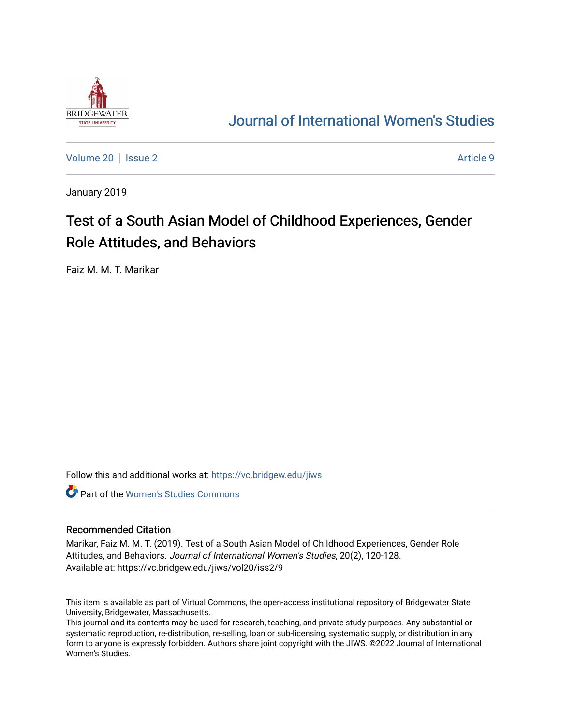

# [Journal of International Women's Studies](https://vc.bridgew.edu/jiws)

[Volume 20](https://vc.bridgew.edu/jiws/vol20) | [Issue 2](https://vc.bridgew.edu/jiws/vol20/iss2) Article 9

January 2019

# Test of a South Asian Model of Childhood Experiences, Gender Role Attitudes, and Behaviors

Faiz M. M. T. Marikar

Follow this and additional works at: [https://vc.bridgew.edu/jiws](https://vc.bridgew.edu/jiws?utm_source=vc.bridgew.edu%2Fjiws%2Fvol20%2Fiss2%2F9&utm_medium=PDF&utm_campaign=PDFCoverPages)

**C** Part of the Women's Studies Commons

#### Recommended Citation

Marikar, Faiz M. M. T. (2019). Test of a South Asian Model of Childhood Experiences, Gender Role Attitudes, and Behaviors. Journal of International Women's Studies, 20(2), 120-128. Available at: https://vc.bridgew.edu/jiws/vol20/iss2/9

This item is available as part of Virtual Commons, the open-access institutional repository of Bridgewater State University, Bridgewater, Massachusetts.

This journal and its contents may be used for research, teaching, and private study purposes. Any substantial or systematic reproduction, re-distribution, re-selling, loan or sub-licensing, systematic supply, or distribution in any form to anyone is expressly forbidden. Authors share joint copyright with the JIWS. ©2022 Journal of International Women's Studies.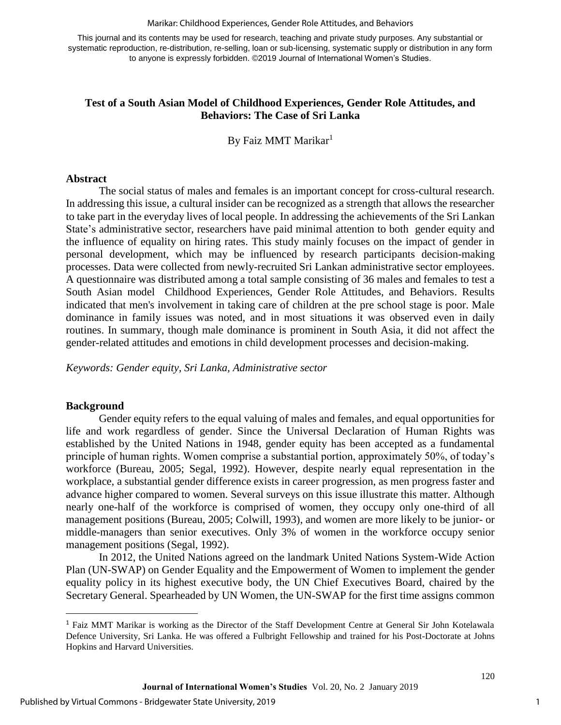#### Marikar: Childhood Experiences, Gender Role Attitudes, and Behaviors

This journal and its contents may be used for research, teaching and private study purposes. Any substantial or systematic reproduction, re-distribution, re-selling, loan or sub-licensing, systematic supply or distribution in any form to anyone is expressly forbidden. ©2019 Journal of International Women's Studies.

#### **Test of a South Asian Model of Childhood Experiences, Gender Role Attitudes, and Behaviors: The Case of Sri Lanka**

By Faiz MMT Marikar<sup>1</sup>

#### **Abstract**

The social status of males and females is an important concept for cross-cultural research. In addressing this issue, a cultural insider can be recognized as a strength that allows the researcher to take part in the everyday lives of local people. In addressing the achievements of the Sri Lankan State's administrative sector, researchers have paid minimal attention to both gender equity and the influence of equality on hiring rates. This study mainly focuses on the impact of gender in personal development, which may be influenced by research participants decision-making processes. Data were collected from newly-recruited Sri Lankan administrative sector employees. A questionnaire was distributed among a total sample consisting of 36 males and females to test a South Asian model Childhood Experiences, Gender Role Attitudes, and Behaviors. Results indicated that men's involvement in taking care of children at the pre school stage is poor. Male dominance in family issues was noted, and in most situations it was observed even in daily routines. In summary, though male dominance is prominent in South Asia, it did not affect the gender-related attitudes and emotions in child development processes and decision-making.

*Keywords: Gender equity, Sri Lanka, Administrative sector*

#### **Background**

 $\overline{a}$ 

Gender equity refers to the equal valuing of males and females, and equal opportunities for life and work regardless of gender. Since the Universal Declaration of Human Rights was established by the United Nations in 1948, gender equity has been accepted as a fundamental principle of human rights. Women comprise a substantial portion, approximately 50%, of today's workforce (Bureau, 2005; Segal, 1992). However, despite nearly equal representation in the workplace, a substantial gender difference exists in career progression, as men progress faster and advance higher compared to women. Several surveys on this issue illustrate this matter. Although nearly one-half of the workforce is comprised of women, they occupy only one-third of all management positions (Bureau, 2005; Colwill, 1993), and women are more likely to be junior- or middle-managers than senior executives. Only 3% of women in the workforce occupy senior management positions (Segal, 1992).

In 2012, the United Nations agreed on the landmark United Nations System-Wide Action Plan (UN-SWAP) on Gender Equality and the Empowerment of Women to implement the gender equality policy in its highest executive body, the UN Chief Executives Board, chaired by the Secretary General. Spearheaded by UN Women, the UN-SWAP for the first time assigns common

<sup>1</sup> Faiz MMT Marikar is working as the Director of the Staff Development Centre at General Sir John Kotelawala Defence University, Sri Lanka. He was offered a Fulbright Fellowship and trained for his Post-Doctorate at Johns Hopkins and Harvard Universities.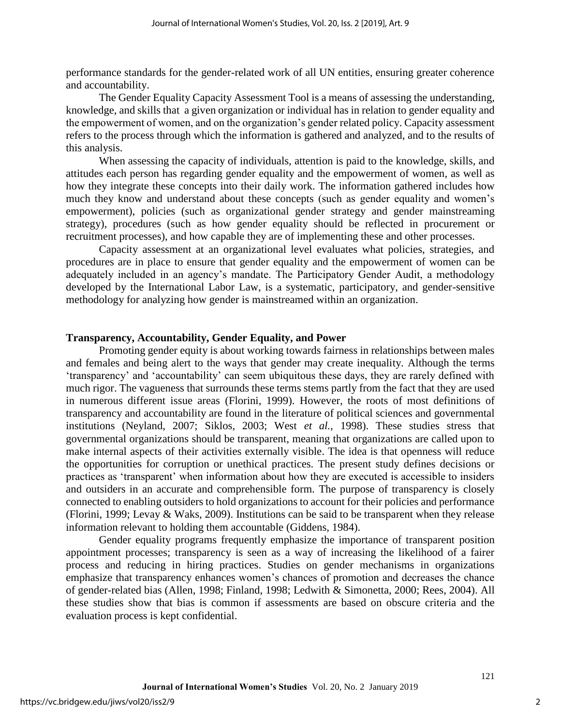performance standards for the gender-related work of all UN entities, ensuring greater coherence and accountability.

The Gender Equality Capacity Assessment Tool is a means of assessing the understanding, knowledge, and skills that a given organization or individual has in relation to gender equality and the empowerment of women, and on the organization's gender related policy. Capacity assessment refers to the process through which the information is gathered and analyzed, and to the results of this analysis.

When assessing the capacity of individuals, attention is paid to the knowledge, skills, and attitudes each person has regarding gender equality and the empowerment of women, as well as how they integrate these concepts into their daily work. The information gathered includes how much they know and understand about these concepts (such as gender equality and women's empowerment), policies (such as organizational gender strategy and gender mainstreaming strategy), procedures (such as how gender equality should be reflected in procurement or recruitment processes), and how capable they are of implementing these and other processes.

Capacity assessment at an organizational level evaluates what policies, strategies, and procedures are in place to ensure that gender equality and the empowerment of women can be adequately included in an agency's mandate. The Participatory Gender Audit, a methodology developed by the International Labor Law, is a systematic, participatory, and gender-sensitive methodology for analyzing how gender is mainstreamed within an organization.

#### **Transparency, Accountability, Gender Equality, and Power**

Promoting gender equity is about working towards fairness in relationships between males and females and being alert to the ways that gender may create inequality. Although the terms 'transparency' and 'accountability' can seem ubiquitous these days, they are rarely defined with much rigor. The vagueness that surrounds these terms stems partly from the fact that they are used in numerous different issue areas (Florini, 1999). However, the roots of most definitions of transparency and accountability are found in the literature of political sciences and governmental institutions (Neyland, 2007; Siklos, 2003; West *et al.,* 1998). These studies stress that governmental organizations should be transparent, meaning that organizations are called upon to make internal aspects of their activities externally visible. The idea is that openness will reduce the opportunities for corruption or unethical practices. The present study defines decisions or practices as 'transparent' when information about how they are executed is accessible to insiders and outsiders in an accurate and comprehensible form. The purpose of transparency is closely connected to enabling outsiders to hold organizations to account for their policies and performance (Florini, 1999; Levay & Waks, 2009). Institutions can be said to be transparent when they release information relevant to holding them accountable (Giddens, 1984).

Gender equality programs frequently emphasize the importance of transparent position appointment processes; transparency is seen as a way of increasing the likelihood of a fairer process and reducing in hiring practices. Studies on gender mechanisms in organizations emphasize that transparency enhances women's chances of promotion and decreases the chance of gender-related bias (Allen, 1998; Finland, 1998; Ledwith & Simonetta, 2000; Rees, 2004). All these studies show that bias is common if assessments are based on obscure criteria and the evaluation process is kept confidential.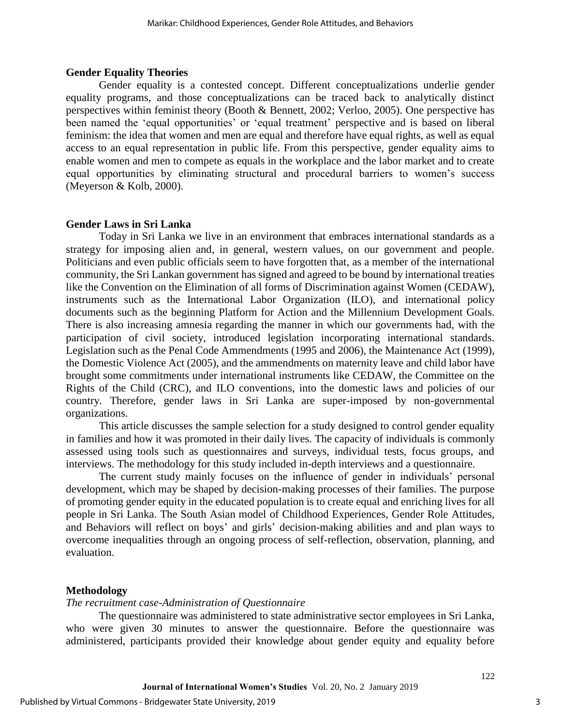#### **Gender Equality Theories**

Gender equality is a contested concept. Different conceptualizations underlie gender equality programs, and those conceptualizations can be traced back to analytically distinct perspectives within feminist theory (Booth & Bennett, 2002; Verloo, 2005). One perspective has been named the 'equal opportunities' or 'equal treatment' perspective and is based on liberal feminism: the idea that women and men are equal and therefore have equal rights, as well as equal access to an equal representation in public life. From this perspective, gender equality aims to enable women and men to compete as equals in the workplace and the labor market and to create equal opportunities by eliminating structural and procedural barriers to women's success (Meyerson & Kolb, 2000).

#### **Gender Laws in Sri Lanka**

Today in Sri Lanka we live in an environment that embraces international standards as a strategy for imposing alien and, in general, western values, on our government and people. Politicians and even public officials seem to have forgotten that, as a member of the international community, the Sri Lankan government has signed and agreed to be bound by international treaties like the Convention on the Elimination of all forms of Discrimination against Women (CEDAW), instruments such as the International Labor Organization (ILO), and international policy documents such as the beginning Platform for Action and the Millennium Development Goals. There is also increasing amnesia regarding the manner in which our governments had, with the participation of civil society, introduced legislation incorporating international standards. Legislation such as the Penal Code Ammendments (1995 and 2006), the Maintenance Act (1999), the Domestic Violence Act (2005), and the ammendments on maternity leave and child labor have brought some commitments under international instruments like CEDAW, the Committee on the Rights of the Child (CRC), and ILO conventions, into the domestic laws and policies of our country. Therefore, gender laws in Sri Lanka are super-imposed by non-governmental organizations.

This article discusses the sample selection for a study designed to control gender equality in families and how it was promoted in their daily lives. The capacity of individuals is commonly assessed using tools such as questionnaires and surveys, individual tests, focus groups, and interviews. The methodology for this study included in-depth interviews and a questionnaire.

The current study mainly focuses on the influence of gender in individuals' personal development, which may be shaped by decision-making processes of their families. The purpose of promoting gender equity in the educated population is to create equal and enriching lives for all people in Sri Lanka. The South Asian model of Childhood Experiences, Gender Role Attitudes, and Behaviors will reflect on boys' and girls' decision-making abilities and and plan ways to overcome inequalities through an ongoing process of self-reflection, observation, planning, and evaluation.

### **Methodology**

*The recruitment case-Administration of Questionnaire*

The questionnaire was administered to state administrative sector employees in Sri Lanka, who were given 30 minutes to answer the questionnaire. Before the questionnaire was administered, participants provided their knowledge about gender equity and equality before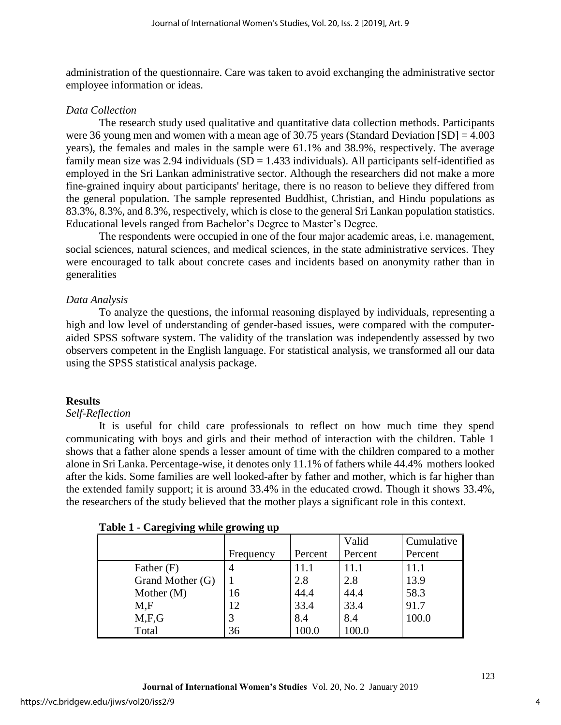administration of the questionnaire. Care was taken to avoid exchanging the administrative sector employee information or ideas.

### *Data Collection*

The research study used qualitative and quantitative data collection methods. Participants were 36 young men and women with a mean age of 30.75 years (Standard Deviation [SD] = 4.003 years), the females and males in the sample were 61.1% and 38.9%, respectively. The average family mean size was 2.94 individuals  $(SD = 1.433$  individuals). All participants self-identified as employed in the Sri Lankan administrative sector. Although the researchers did not make a more fine-grained inquiry about participants' heritage, there is no reason to believe they differed from the general population. The sample represented Buddhist, Christian, and Hindu populations as 83.3%, 8.3%, and 8.3%, respectively, which is close to the general Sri Lankan population statistics. Educational levels ranged from Bachelor's Degree to Master's Degree.

The respondents were occupied in one of the four major academic areas, i.e. management, social sciences, natural sciences, and medical sciences, in the state administrative services. They were encouraged to talk about concrete cases and incidents based on anonymity rather than in generalities

# *Data Analysis*

To analyze the questions, the informal reasoning displayed by individuals, representing a high and low level of understanding of gender-based issues, were compared with the computeraided SPSS software system. The validity of the translation was independently assessed by two observers competent in the English language. For statistical analysis, we transformed all our data using the SPSS statistical analysis package.

# **Results**

### *Self-Reflection*

It is useful for child care professionals to reflect on how much time they spend communicating with boys and girls and their method of interaction with the children. Table 1 shows that a father alone spends a lesser amount of time with the children compared to a mother alone in Sri Lanka. Percentage-wise, it denotes only 11.1% of fathers while 44.4% mothers looked after the kids. Some families are well looked-after by father and mother, which is far higher than the extended family support; it is around 33.4% in the educated crowd. Though it shows 33.4%, the researchers of the study believed that the mother plays a significant role in this context.

| ີ<br>້           | ິ<br>ີ    |         |         |            |
|------------------|-----------|---------|---------|------------|
|                  |           |         | Valid   | Cumulative |
|                  | Frequency | Percent | Percent | Percent    |
| Father $(F)$     | 4         | 11.1    | 11.1    | 11.1       |
| Grand Mother (G) |           | 2.8     | 2.8     | 13.9       |
| Mother $(M)$     | 16        | 44.4    | 44.4    | 58.3       |
| M,F              | 12        | 33.4    | 33.4    | 91.7       |
| M.F.G            |           | 8.4     | 8.4     | 100.0      |
| Total            | 36        | 100.0   | 100.0   |            |

# **Table 1 - Caregiving while growing up**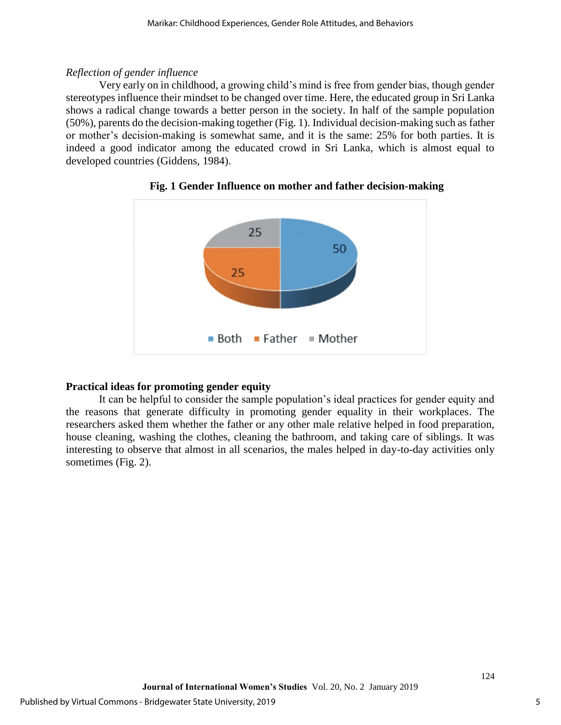## *Reflection of gender influence*

Very early on in childhood, a growing child's mind is free from gender bias, though gender stereotypes influence their mindset to be changed over time. Here, the educated group in Sri Lanka shows a radical change towards a better person in the society. In half of the sample population (50%), parents do the decision-making together (Fig. 1). Individual decision-making such as father or mother's decision-making is somewhat same, and it is the same: 25% for both parties. It is indeed a good indicator among the educated crowd in Sri Lanka, which is almost equal to developed countries (Giddens, 1984).





# **Practical ideas for promoting gender equity**

It can be helpful to consider the sample population's ideal practices for gender equity and the reasons that generate difficulty in promoting gender equality in their workplaces. The researchers asked them whether the father or any other male relative helped in food preparation, house cleaning, washing the clothes, cleaning the bathroom, and taking care of siblings. It was interesting to observe that almost in all scenarios, the males helped in day-to-day activities only sometimes (Fig. 2).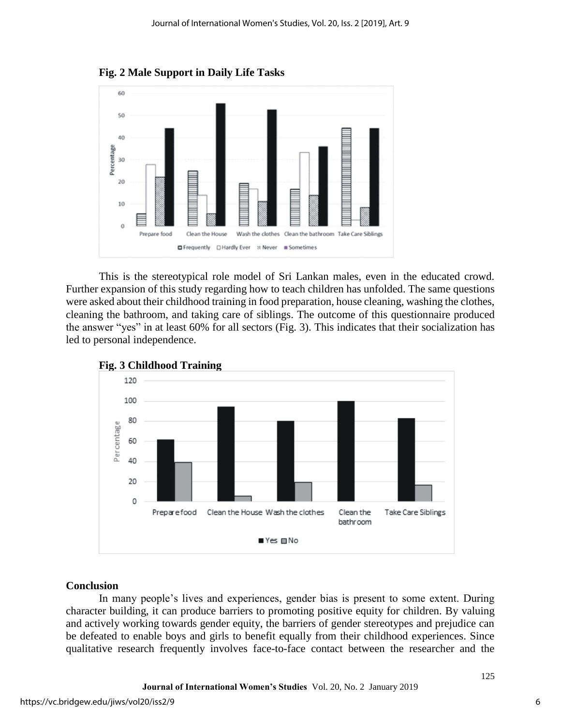**Fig. 2 Male Support in Daily Life Tasks**



This is the stereotypical role model of Sri Lankan males, even in the educated crowd. Further expansion of this study regarding how to teach children has unfolded. The same questions were asked about their childhood training in food preparation, house cleaning, washing the clothes, cleaning the bathroom, and taking care of siblings. The outcome of this questionnaire produced the answer "yes" in at least 60% for all sectors (Fig. 3). This indicates that their socialization has led to personal independence.





# **Conclusion**

In many people's lives and experiences, gender bias is present to some extent. During character building, it can produce barriers to promoting positive equity for children. By valuing and actively working towards gender equity, the barriers of gender stereotypes and prejudice can be defeated to enable boys and girls to benefit equally from their childhood experiences. Since qualitative research frequently involves face-to-face contact between the researcher and the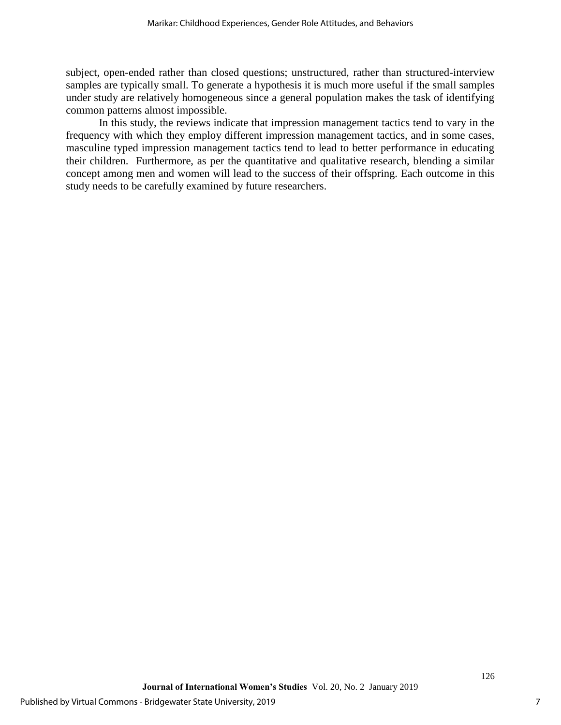subject, open-ended rather than closed questions; unstructured, rather than structured-interview samples are typically small. To generate a hypothesis it is much more useful if the small samples under study are relatively homogeneous since a general population makes the task of identifying common patterns almost impossible.

In this study, the reviews indicate that impression management tactics tend to vary in the frequency with which they employ different impression management tactics, and in some cases, masculine typed impression management tactics tend to lead to better performance in educating their children. Furthermore, as per the quantitative and qualitative research, blending a similar concept among men and women will lead to the success of their offspring. Each outcome in this study needs to be carefully examined by future researchers.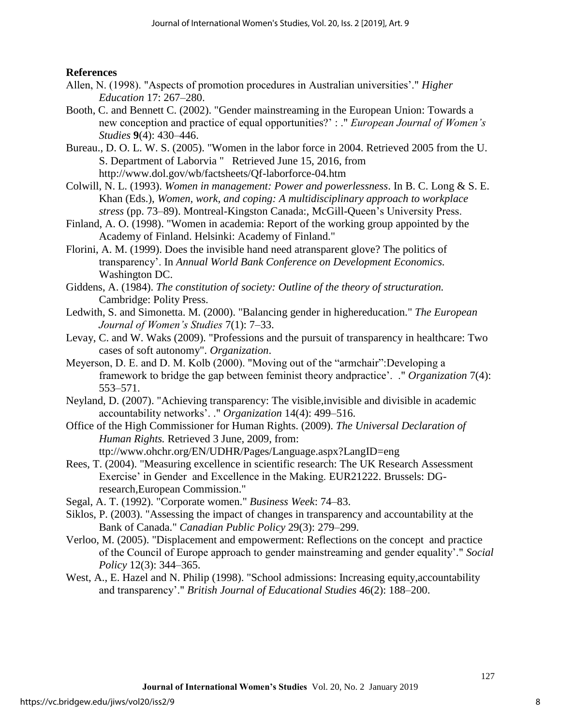### **References**

- Allen, N. (1998). "Aspects of promotion procedures in Australian universities'." *Higher Education* 17: 267–280.
- Booth, C. and Bennett C. (2002). "Gender mainstreaming in the European Union: Towards a new conception and practice of equal opportunities?' : ." *European Journal of Women's Studies* **9**(4): 430–446.
- Bureau., D. O. L. W. S. (2005). "Women in the labor force in 2004. Retrieved 2005 from the U. S. Department of Laborvia " Retrieved June 15, 2016, from http://www.dol.gov/wb/factsheets/Qf-laborforce-04.htm
- Colwill, N. L. (1993). *Women in management: Power and powerlessness*. In B. C. Long & S. E. Khan (Eds.), *Women, work, and coping: A multidisciplinary approach to workplace stress* (pp. 73–89). Montreal-Kingston Canada:, McGill-Queen's University Press.
- Finland, A. O. (1998). "Women in academia: Report of the working group appointed by the Academy of Finland. Helsinki: Academy of Finland."
- Florini, A. M. (1999). Does the invisible hand need atransparent glove? The politics of transparency'. In *Annual World Bank Conference on Development Economics.* Washington DC.
- Giddens, A. (1984). *The constitution of society: Outline of the theory of structuration.* Cambridge: Polity Press.
- Ledwith, S. and Simonetta. M. (2000). "Balancing gender in highereducation." *The European Journal of Women's Studies* 7(1): 7–33.
- Levay, C. and W. Waks (2009). "Professions and the pursuit of transparency in healthcare: Two cases of soft autonomy". *Organization*.
- Meyerson, D. E. and D. M. Kolb (2000). "Moving out of the "armchair":Developing a framework to bridge the gap between feminist theory andpractice'. ." *Organization* 7(4): 553–571.
- Neyland, D. (2007). "Achieving transparency: The visible,invisible and divisible in academic accountability networks'. ." *Organization* 14(4): 499–516.
- Office of the High Commissioner for Human Rights. (2009). *The Universal Declaration of Human Rights.* Retrieved 3 June, 2009, from: ttp://www.ohchr.org/EN/UDHR/Pages/Language.aspx?LangID=eng
- Rees, T. (2004). "Measuring excellence in scientific research: The UK Research Assessment Exercise' in Gender and Excellence in the Making. EUR21222. Brussels: DGresearch,European Commission."
- Segal, A. T. (1992). "Corporate women." *Business Week*: 74–83.
- Siklos, P. (2003). "Assessing the impact of changes in transparency and accountability at the Bank of Canada." *Canadian Public Policy* 29(3): 279–299.
- Verloo, M. (2005). "Displacement and empowerment: Reflections on the concept and practice of the Council of Europe approach to gender mainstreaming and gender equality'." *Social Policy* 12(3): 344–365.
- West, A., E. Hazel and N. Philip (1998). "School admissions: Increasing equity,accountability and transparency'." *British Journal of Educational Studies* 46(2): 188–200.